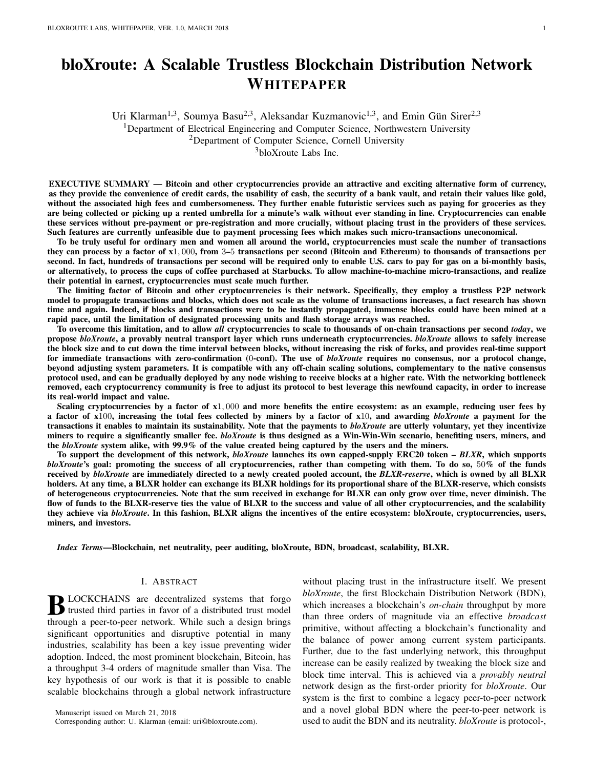# bloXroute: A Scalable Trustless Blockchain Distribution Network WHITEPAPER

Uri Klarman<sup>1,3</sup>, Soumya Basu<sup>2,3</sup>, Aleksandar Kuzmanovic<sup>1,3</sup>, and Emin Gün Sirer<sup>2,3</sup> <sup>1</sup>Department of Electrical Engineering and Computer Science, Northwestern University

<sup>2</sup>Department of Computer Science, Cornell University

<sup>3</sup>bloXroute Labs Inc.

EXECUTIVE SUMMARY — Bitcoin and other cryptocurrencies provide an attractive and exciting alternative form of currency, as they provide the convenience of credit cards, the usability of cash, the security of a bank vault, and retain their values like gold, without the associated high fees and cumbersomeness. They further enable futuristic services such as paying for groceries as they are being collected or picking up a rented umbrella for a minute's walk without ever standing in line. Cryptocurrencies can enable these services without pre-payment or pre-registration and more crucially, without placing trust in the providers of these services. Such features are currently unfeasible due to payment processing fees which makes such micro-transactions uneconomical.

To be truly useful for ordinary men and women all around the world, cryptocurrencies must scale the number of transactions they can process by a factor of x1, 000, from 3–5 transactions per second (Bitcoin and Ethereum) to thousands of transactions per second. In fact, hundreds of transactions per second will be required only to enable U.S. cars to pay for gas on a bi-monthly basis, or alternatively, to process the cups of coffee purchased at Starbucks. To allow machine-to-machine micro-transactions, and realize their potential in earnest, cryptocurrencies must scale much further.

The limiting factor of Bitcoin and other cryptocurrencies is their network. Specifically, they employ a trustless P2P network model to propagate transactions and blocks, which does not scale as the volume of transactions increases, a fact research has shown time and again. Indeed, if blocks and transactions were to be instantly propagated, immense blocks could have been mined at a rapid pace, until the limitation of designated processing units and flash storage arrays was reached.

To overcome this limitation, and to allow *all* cryptocurrencies to scale to thousands of on-chain transactions per second *today*, we propose *bloXroute*, a provably neutral transport layer which runs underneath cryptocurrencies. *bloXroute* allows to safely increase the block size and to cut down the time interval between blocks, without increasing the risk of forks, and provides real-time support for immediate transactions with zero-confirmation (0-conf). The use of *bloXroute* requires no consensus, nor a protocol change, beyond adjusting system parameters. It is compatible with any off-chain scaling solutions, complementary to the native consensus protocol used, and can be gradually deployed by any node wishing to receive blocks at a higher rate. With the networking bottleneck removed, each cryptocurrency community is free to adjust its protocol to best leverage this newfound capacity, in order to increase its real-world impact and value.

Scaling cryptocurrencies by a factor of x1,000 and more benefits the entire ecosystem: as an example, reducing user fees by a factor of x100, increasing the total fees collected by miners by a factor of x10, and awarding *bloXroute* a payment for the transactions it enables to maintain its sustainability. Note that the payments to *bloXroute* are utterly voluntary, yet they incentivize miners to require a significantly smaller fee. *bloXroute* is thus designed as a Win-Win-Win scenario, benefiting users, miners, and the *bloXroute* system alike, with 99.9% of the value created being captured by the users and the miners.

To support the development of this network, *bloXroute* launches its own capped-supply ERC20 token – *BLXR*, which supports *bloXroute*'s goal: promoting the success of all cryptocurrencies, rather than competing with them. To do so, 50% of the funds received by *bloXroute* are immediately directed to a newly created pooled account, the *BLXR-reserve*, which is owned by all BLXR holders. At any time, a BLXR holder can exchange its BLXR holdings for its proportional share of the BLXR-reserve, which consists of heterogeneous cryptocurrencies. Note that the sum received in exchange for BLXR can only grow over time, never diminish. The flow of funds to the BLXR-reserve ties the value of BLXR to the success and value of all other cryptocurrencies, and the scalability they achieve via *bloXroute*. In this fashion, BLXR aligns the incentives of the entire ecosystem: bloXroute, cryptocurrencies, users, miners, and investors.

*Index Terms*—Blockchain, net neutrality, peer auditing, bloXroute, BDN, broadcast, scalability, BLXR.

## I. ABSTRACT

**B** LOCKCHAINS are decentralized systems that forgot trusted third parties in favor of a distributed trust model trusted third parties in favor of a distributed trust model through a peer-to-peer network. While such a design brings significant opportunities and disruptive potential in many industries, scalability has been a key issue preventing wider adoption. Indeed, the most prominent blockchain, Bitcoin, has a throughput 3-4 orders of magnitude smaller than Visa. The key hypothesis of our work is that it is possible to enable scalable blockchains through a global network infrastructure

without placing trust in the infrastructure itself. We present *bloXroute*, the first Blockchain Distribution Network (BDN), which increases a blockchain's *on-chain* throughput by more than three orders of magnitude via an effective *broadcast* primitive, without affecting a blockchain's functionality and the balance of power among current system participants. Further, due to the fast underlying network, this throughput increase can be easily realized by tweaking the block size and block time interval. This is achieved via a *provably neutral* network design as the first-order priority for *bloXroute*. Our system is the first to combine a legacy peer-to-peer network and a novel global BDN where the peer-to-peer network is used to audit the BDN and its neutrality. *bloXroute* is protocol-,

Manuscript issued on March 21, 2018

Corresponding author: U. Klarman (email: uri@bloxroute.com).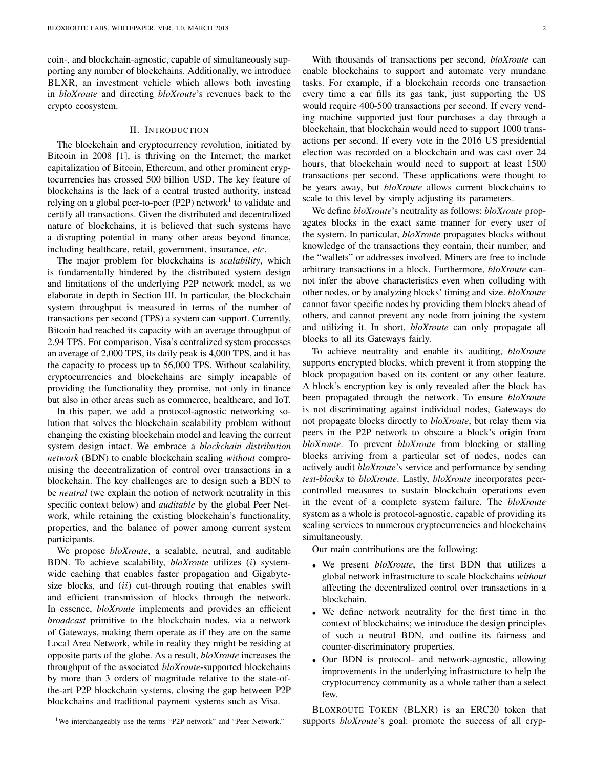coin-, and blockchain-agnostic, capable of simultaneously supporting any number of blockchains. Additionally, we introduce BLXR, an investment vehicle which allows both investing in *bloXroute* and directing *bloXroute*'s revenues back to the crypto ecosystem.

#### II. INTRODUCTION

The blockchain and cryptocurrency revolution, initiated by Bitcoin in 2008 [1], is thriving on the Internet; the market capitalization of Bitcoin, Ethereum, and other prominent cryptocurrencies has crossed 500 billion USD. The key feature of blockchains is the lack of a central trusted authority, instead relying on a global peer-to-peer (P2P) network<sup>1</sup> to validate and certify all transactions. Given the distributed and decentralized nature of blockchains, it is believed that such systems have a disrupting potential in many other areas beyond finance, including healthcare, retail, government, insurance, *etc*.

The major problem for blockchains is *scalability*, which is fundamentally hindered by the distributed system design and limitations of the underlying P2P network model, as we elaborate in depth in Section III. In particular, the blockchain system throughput is measured in terms of the number of transactions per second (TPS) a system can support. Currently, Bitcoin had reached its capacity with an average throughput of 2.94 TPS. For comparison, Visa's centralized system processes an average of 2,000 TPS, its daily peak is 4,000 TPS, and it has the capacity to process up to 56,000 TPS. Without scalability, cryptocurrencies and blockchains are simply incapable of providing the functionality they promise, not only in finance but also in other areas such as commerce, healthcare, and IoT.

In this paper, we add a protocol-agnostic networking solution that solves the blockchain scalability problem without changing the existing blockchain model and leaving the current system design intact. We embrace a *blockchain distribution network* (BDN) to enable blockchain scaling *without* compromising the decentralization of control over transactions in a blockchain. The key challenges are to design such a BDN to be *neutral* (we explain the notion of network neutrality in this specific context below) and *auditable* by the global Peer Network, while retaining the existing blockchain's functionality, properties, and the balance of power among current system participants.

We propose *bloXroute*, a scalable, neutral, and auditable BDN. To achieve scalability, *bloXroute* utilizes (i) systemwide caching that enables faster propagation and Gigabytesize blocks, and  $(ii)$  cut-through routing that enables swift and efficient transmission of blocks through the network. In essence, *bloXroute* implements and provides an efficient *broadcast* primitive to the blockchain nodes, via a network of Gateways, making them operate as if they are on the same Local Area Network, while in reality they might be residing at opposite parts of the globe. As a result, *bloXroute* increases the throughput of the associated *bloXroute*-supported blockchains by more than 3 orders of magnitude relative to the state-ofthe-art P2P blockchain systems, closing the gap between P2P blockchains and traditional payment systems such as Visa.

knowledge of the transactions they contain, their number, and the "wallets" or addresses involved. Miners are free to include arbitrary transactions in a block. Furthermore, *bloXroute* cannot infer the above characteristics even when colluding with other nodes, or by analyzing blocks' timing and size. *bloXroute* cannot favor specific nodes by providing them blocks ahead of others, and cannot prevent any node from joining the system and utilizing it. In short, *bloXroute* can only propagate all blocks to all its Gateways fairly. To achieve neutrality and enable its auditing, *bloXroute*

supports encrypted blocks, which prevent it from stopping the block propagation based on its content or any other feature. A block's encryption key is only revealed after the block has been propagated through the network. To ensure *bloXroute* is not discriminating against individual nodes, Gateways do not propagate blocks directly to *bloXroute*, but relay them via peers in the P2P network to obscure a block's origin from *bloXroute*. To prevent *bloXroute* from blocking or stalling blocks arriving from a particular set of nodes, nodes can actively audit *bloXroute*'s service and performance by sending *test-blocks* to *bloXroute*. Lastly, *bloXroute* incorporates peercontrolled measures to sustain blockchain operations even in the event of a complete system failure. The *bloXroute* system as a whole is protocol-agnostic, capable of providing its scaling services to numerous cryptocurrencies and blockchains simultaneously.

With thousands of transactions per second, *bloXroute* can enable blockchains to support and automate very mundane tasks. For example, if a blockchain records one transaction every time a car fills its gas tank, just supporting the US would require 400-500 transactions per second. If every vending machine supported just four purchases a day through a blockchain, that blockchain would need to support 1000 transactions per second. If every vote in the 2016 US presidential election was recorded on a blockchain and was cast over 24 hours, that blockchain would need to support at least 1500 transactions per second. These applications were thought to be years away, but *bloXroute* allows current blockchains to

scale to this level by simply adjusting its parameters.

We define *bloXroute*'s neutrality as follows: *bloXroute* propagates blocks in the exact same manner for every user of the system. In particular, *bloXroute* propagates blocks without

Our main contributions are the following:

- We present *bloXroute*, the first BDN that utilizes a global network infrastructure to scale blockchains *without* affecting the decentralized control over transactions in a blockchain.
- We define network neutrality for the first time in the context of blockchains; we introduce the design principles of such a neutral BDN, and outline its fairness and counter-discriminatory properties.
- Our BDN is protocol- and network-agnostic, allowing improvements in the underlying infrastructure to help the cryptocurrency community as a whole rather than a select few.

BLOXROUTE TOKEN (BLXR) is an ERC20 token that supports *bloXroute*'s goal: promote the success of all cryp-

<sup>1</sup>We interchangeably use the terms "P2P network" and "Peer Network."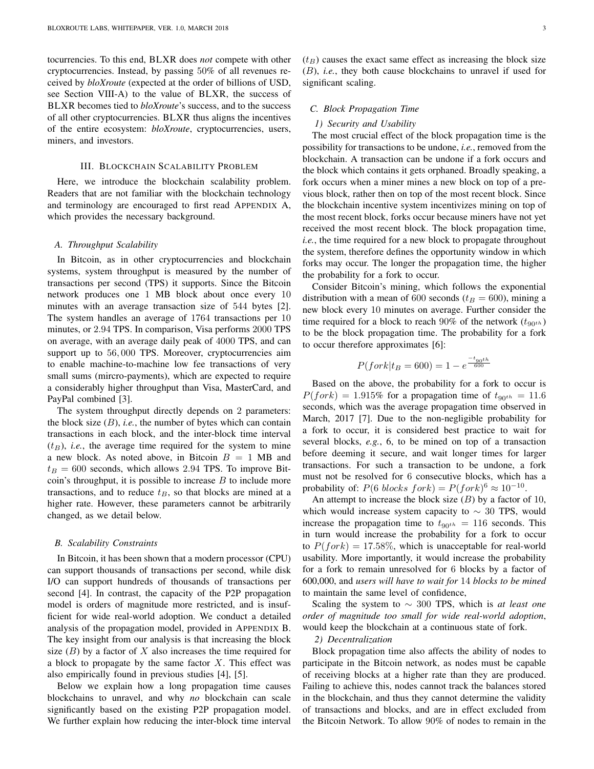tocurrencies. To this end, BLXR does *not* compete with other cryptocurrencies. Instead, by passing 50% of all revenues received by *bloXroute* (expected at the order of billions of USD, see Section VIII-A) to the value of BLXR, the success of BLXR becomes tied to *bloXroute*'s success, and to the success of all other cryptocurrencies. BLXR thus aligns the incentives of the entire ecosystem: *bloXroute*, cryptocurrencies, users, miners, and investors.

## III. BLOCKCHAIN SCALABILITY PROBLEM

Here, we introduce the blockchain scalability problem. Readers that are not familiar with the blockchain technology and terminology are encouraged to first read APPENDIX A, which provides the necessary background.

## *A. Throughput Scalability*

In Bitcoin, as in other cryptocurrencies and blockchain systems, system throughput is measured by the number of transactions per second (TPS) it supports. Since the Bitcoin network produces one 1 MB block about once every 10 minutes with an average transaction size of 544 bytes [2]. The system handles an average of 1764 transactions per 10 minutes, or 2.94 TPS. In comparison, Visa performs 2000 TPS on average, with an average daily peak of 4000 TPS, and can support up to 56,000 TPS. Moreover, cryptocurrencies aim to enable machine-to-machine low fee transactions of very small sums (mircro-payments), which are expected to require a considerably higher throughput than Visa, MasterCard, and PayPal combined [3].

The system throughput directly depends on 2 parameters: the block size  $(B)$ , *i.e.*, the number of bytes which can contain transactions in each block, and the inter-block time interval  $(t_B)$ , *i.e.*, the average time required for the system to mine a new block. As noted above, in Bitcoin  $B = 1$  MB and  $t_B = 600$  seconds, which allows 2.94 TPS. To improve Bitcoin's throughput, it is possible to increase  $B$  to include more transactions, and to reduce  $t_B$ , so that blocks are mined at a higher rate. However, these parameters cannot be arbitrarily changed, as we detail below.

## *B. Scalability Constraints*

In Bitcoin, it has been shown that a modern processor (CPU) can support thousands of transactions per second, while disk I/O can support hundreds of thousands of transactions per second [4]. In contrast, the capacity of the P2P propagation model is orders of magnitude more restricted, and is insufficient for wide real-world adoption. We conduct a detailed analysis of the propagation model, provided in APPENDIX B. The key insight from our analysis is that increasing the block size  $(B)$  by a factor of X also increases the time required for a block to propagate by the same factor  $X$ . This effect was also empirically found in previous studies [4], [5].

Below we explain how a long propagation time causes blockchains to unravel, and why *no* blockchain can scale significantly based on the existing P2P propagation model. We further explain how reducing the inter-block time interval  $(t_B)$  causes the exact same effect as increasing the block size (B), *i.e.*, they both cause blockchains to unravel if used for significant scaling.

#### *C. Block Propagation Time*

# *1) Security and Usability*

The most crucial effect of the block propagation time is the possibility for transactions to be undone, *i.e.*, removed from the blockchain. A transaction can be undone if a fork occurs and the block which contains it gets orphaned. Broadly speaking, a fork occurs when a miner mines a new block on top of a previous block, rather then on top of the most recent block. Since the blockchain incentive system incentivizes mining on top of the most recent block, forks occur because miners have not yet received the most recent block. The block propagation time, *i.e.*, the time required for a new block to propagate throughout the system, therefore defines the opportunity window in which forks may occur. The longer the propagation time, the higher the probability for a fork to occur.

Consider Bitcoin's mining, which follows the exponential distribution with a mean of 600 seconds ( $t_B = 600$ ), mining a new block every 10 minutes on average. Further consider the time required for a block to reach 90% of the network  $(t_{90}t_h)$ to be the block propagation time. The probability for a fork to occur therefore approximates [6]:

$$
P(fork|t_B = 600) = 1 - e^{\frac{-t_{90}th}{600}}
$$

Based on the above, the probability for a fork to occur is  $P(fork) = 1.915\%$  for a propagation time of  $t_{90<sup>th</sup>} = 11.6$ seconds, which was the average propagation time observed in March, 2017 [7]. Due to the non-negligible probability for a fork to occur, it is considered best practice to wait for several blocks, *e.g.*, 6, to be mined on top of a transaction before deeming it secure, and wait longer times for larger transactions. For such a transaction to be undone, a fork must not be resolved for 6 consecutive blocks, which has a probability of:  $P(6 \text{ blocks } fork) = P(fork)^6 \approx 10^{-10}$ .

An attempt to increase the block size  $(B)$  by a factor of 10, which would increase system capacity to  $\sim 30$  TPS, would increase the propagation time to  $t_{90<sup>th</sup>} = 116$  seconds. This in turn would increase the probability for a fork to occur to  $P(fork) = 17.58\%$ , which is unacceptable for real-world usability. More importantly, it would increase the probability for a fork to remain unresolved for 6 blocks by a factor of 600,000, and *users will have to wait for* 14 *blocks to be mined* to maintain the same level of confidence,

Scaling the system to ∼ 300 TPS, which is *at least one order of magnitude too small for wide real-world adoption*, would keep the blockchain at a continuous state of fork.

*2) Decentralization*

Block propagation time also affects the ability of nodes to participate in the Bitcoin network, as nodes must be capable of receiving blocks at a higher rate than they are produced. Failing to achieve this, nodes cannot track the balances stored in the blockchain, and thus they cannot determine the validity of transactions and blocks, and are in effect excluded from the Bitcoin Network. To allow 90% of nodes to remain in the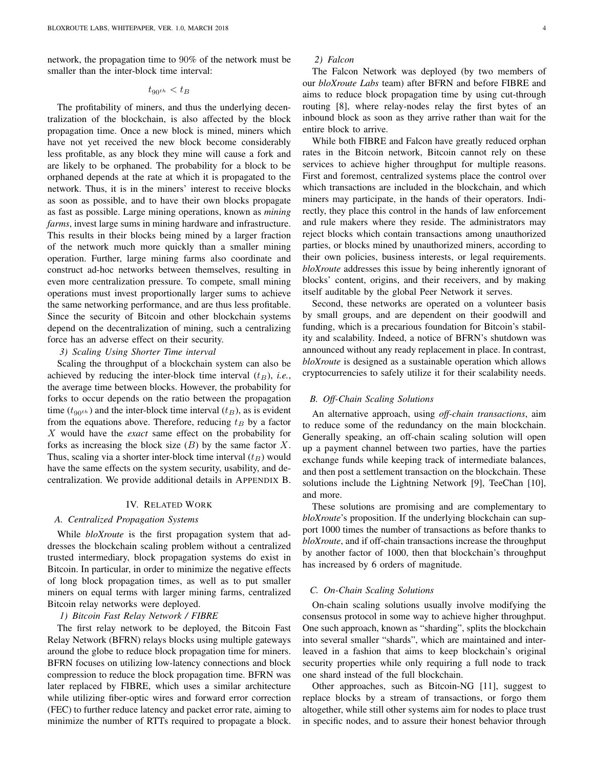network, the propagation time to 90% of the network must be smaller than the inter-block time interval:

# $t_{90^{th}} < t_B$

The profitability of miners, and thus the underlying decentralization of the blockchain, is also affected by the block propagation time. Once a new block is mined, miners which have not yet received the new block become considerably less profitable, as any block they mine will cause a fork and are likely to be orphaned. The probability for a block to be orphaned depends at the rate at which it is propagated to the network. Thus, it is in the miners' interest to receive blocks as soon as possible, and to have their own blocks propagate as fast as possible. Large mining operations, known as *mining farms*, invest large sums in mining hardware and infrastructure. This results in their blocks being mined by a larger fraction of the network much more quickly than a smaller mining operation. Further, large mining farms also coordinate and construct ad-hoc networks between themselves, resulting in even more centralization pressure. To compete, small mining operations must invest proportionally larger sums to achieve the same networking performance, and are thus less profitable. Since the security of Bitcoin and other blockchain systems depend on the decentralization of mining, such a centralizing force has an adverse effect on their security.

# *3) Scaling Using Shorter Time interval*

Scaling the throughput of a blockchain system can also be achieved by reducing the inter-block time interval  $(t_B)$ , *i.e.*, the average time between blocks. However, the probability for forks to occur depends on the ratio between the propagation time ( $t_{90<sup>th</sup>}$ ) and the inter-block time interval ( $t_B$ ), as is evident from the equations above. Therefore, reducing  $t_B$  by a factor X would have the *exact* same effect on the probability for forks as increasing the block size  $(B)$  by the same factor X. Thus, scaling via a shorter inter-block time interval  $(t_B)$  would have the same effects on the system security, usability, and decentralization. We provide additional details in APPENDIX B.

#### IV. RELATED WORK

#### *A. Centralized Propagation Systems*

While *bloXroute* is the first propagation system that addresses the blockchain scaling problem without a centralized trusted intermediary, block propagation systems do exist in Bitcoin. In particular, in order to minimize the negative effects of long block propagation times, as well as to put smaller miners on equal terms with larger mining farms, centralized Bitcoin relay networks were deployed.

## *1) Bitcoin Fast Relay Network / FIBRE*

The first relay network to be deployed, the Bitcoin Fast Relay Network (BFRN) relays blocks using multiple gateways around the globe to reduce block propagation time for miners. BFRN focuses on utilizing low-latency connections and block compression to reduce the block propagation time. BFRN was later replaced by FIBRE, which uses a similar architecture while utilizing fiber-optic wires and forward error correction (FEC) to further reduce latency and packet error rate, aiming to minimize the number of RTTs required to propagate a block.

## *2) Falcon*

The Falcon Network was deployed (by two members of our *bloXroute Labs* team) after BFRN and before FIBRE and aims to reduce block propagation time by using cut-through routing [8], where relay-nodes relay the first bytes of an inbound block as soon as they arrive rather than wait for the entire block to arrive.

While both FIBRE and Falcon have greatly reduced orphan rates in the Bitcoin network, Bitcoin cannot rely on these services to achieve higher throughput for multiple reasons. First and foremost, centralized systems place the control over which transactions are included in the blockchain, and which miners may participate, in the hands of their operators. Indirectly, they place this control in the hands of law enforcement and rule makers where they reside. The administrators may reject blocks which contain transactions among unauthorized parties, or blocks mined by unauthorized miners, according to their own policies, business interests, or legal requirements. *bloXroute* addresses this issue by being inherently ignorant of blocks' content, origins, and their receivers, and by making itself auditable by the global Peer Network it serves.

Second, these networks are operated on a volunteer basis by small groups, and are dependent on their goodwill and funding, which is a precarious foundation for Bitcoin's stability and scalability. Indeed, a notice of BFRN's shutdown was announced without any ready replacement in place. In contrast, *bloXroute* is designed as a sustainable operation which allows cryptocurrencies to safely utilize it for their scalability needs.

#### *B. Off-Chain Scaling Solutions*

An alternative approach, using *off-chain transactions*, aim to reduce some of the redundancy on the main blockchain. Generally speaking, an off-chain scaling solution will open up a payment channel between two parties, have the parties exchange funds while keeping track of intermediate balances, and then post a settlement transaction on the blockchain. These solutions include the Lightning Network [9], TeeChan [10], and more.

These solutions are promising and are complementary to *bloXroute*'s proposition. If the underlying blockchain can support 1000 times the number of transactions as before thanks to *bloXroute*, and if off-chain transactions increase the throughput by another factor of 1000, then that blockchain's throughput has increased by 6 orders of magnitude.

#### *C. On-Chain Scaling Solutions*

On-chain scaling solutions usually involve modifying the consensus protocol in some way to achieve higher throughput. One such approach, known as "sharding", splits the blockchain into several smaller "shards", which are maintained and interleaved in a fashion that aims to keep blockchain's original security properties while only requiring a full node to track one shard instead of the full blockchain.

Other approaches, such as Bitcoin-NG [11], suggest to replace blocks by a stream of transactions, or forgo them altogether, while still other systems aim for nodes to place trust in specific nodes, and to assure their honest behavior through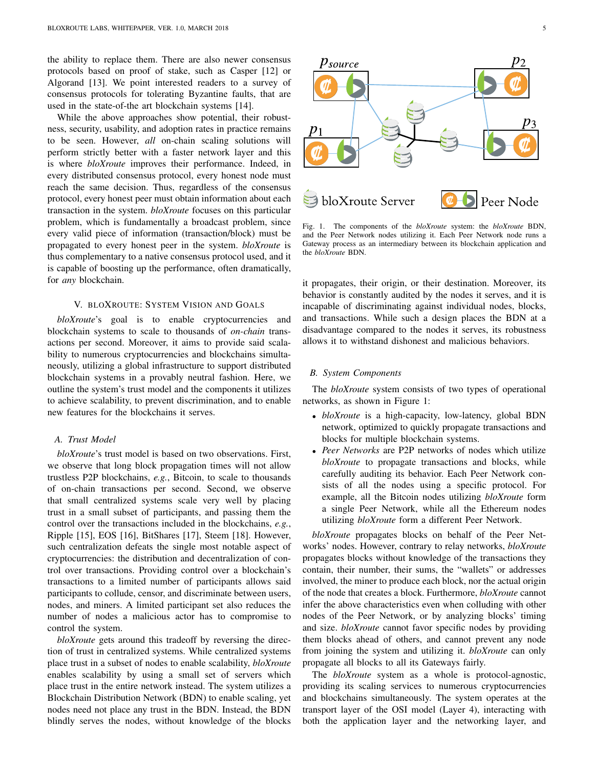the ability to replace them. There are also newer consensus protocols based on proof of stake, such as Casper [12] or Algorand [13]. We point interested readers to a survey of consensus protocols for tolerating Byzantine faults, that are used in the state-of-the art blockchain systems [14].

While the above approaches show potential, their robustness, security, usability, and adoption rates in practice remains to be seen. However, *all* on-chain scaling solutions will perform strictly better with a faster network layer and this is where *bloXroute* improves their performance. Indeed, in every distributed consensus protocol, every honest node must reach the same decision. Thus, regardless of the consensus protocol, every honest peer must obtain information about each transaction in the system. *bloXroute* focuses on this particular problem, which is fundamentally a broadcast problem, since every valid piece of information (transaction/block) must be propagated to every honest peer in the system. *bloXroute* is thus complementary to a native consensus protocol used, and it is capable of boosting up the performance, often dramatically, for *any* blockchain.

## V. BLOXROUTE: SYSTEM VISION AND GOALS

*bloXroute*'s goal is to enable cryptocurrencies and blockchain systems to scale to thousands of *on-chain* transactions per second. Moreover, it aims to provide said scalability to numerous cryptocurrencies and blockchains simultaneously, utilizing a global infrastructure to support distributed blockchain systems in a provably neutral fashion. Here, we outline the system's trust model and the components it utilizes to achieve scalability, to prevent discrimination, and to enable new features for the blockchains it serves.

## *A. Trust Model*

*bloXroute*'s trust model is based on two observations. First, we observe that long block propagation times will not allow trustless P2P blockchains, *e.g.*, Bitcoin, to scale to thousands of on-chain transactions per second. Second, we observe that small centralized systems scale very well by placing trust in a small subset of participants, and passing them the control over the transactions included in the blockchains, *e.g.*, Ripple [15], EOS [16], BitShares [17], Steem [18]. However, such centralization defeats the single most notable aspect of cryptocurrencies: the distribution and decentralization of control over transactions. Providing control over a blockchain's transactions to a limited number of participants allows said participants to collude, censor, and discriminate between users, nodes, and miners. A limited participant set also reduces the number of nodes a malicious actor has to compromise to control the system. protocol, explores the results and the median server of the nodes the nodes of the nodes that is a server which are the server which are the server which are the server which are the server which are the server which are

*bloXroute* gets around this tradeoff by reversing the direction of trust in centralized systems. While centralized systems place trust in a subset of nodes to enable scalability, *bloXroute* enables scalability by using a small set of servers which place trust in the entire network instead. The system utilizes a Blockchain Distribution Network (BDN) to enable scaling, yet nodes need not place any trust in the BDN. Instead, the BDN



Fig. 1. The components of the *bloXroute* system: the *bloXroute* BDN, and the Peer Network nodes utilizing it. Each Peer Network node runs a Gateway process as an intermediary between its blockchain application and the *bloXroute* BDN.

it propagates, their origin, or their destination. Moreover, its behavior is constantly audited by the nodes it serves, and it is incapable of discriminating against individual nodes, blocks, and transactions. While such a design places the BDN at a disadvantage compared to the nodes it serves, its robustness allows it to withstand dishonest and malicious behaviors.

# *B. System Components*

The *bloXroute* system consists of two types of operational networks, as shown in Figure 1:

- *bloXroute* is a high-capacity, low-latency, global BDN network, optimized to quickly propagate transactions and blocks for multiple blockchain systems.
- *Peer Networks* are P2P networks of nodes which utilize *bloXroute* to propagate transactions and blocks, while carefully auditing its behavior. Each Peer Network consists of all the nodes using a specific protocol. For example, all the Bitcoin nodes utilizing *bloXroute* form a single Peer Network, while all the Ethereum nodes utilizing *bloXroute* form a different Peer Network.

*bloXroute* propagates blocks on behalf of the Peer Networks' nodes. However, contrary to relay networks, *bloXroute* propagates blocks without knowledge of the transactions they contain, their number, their sums, the "wallets" or addresses involved, the miner to produce each block, nor the actual origin of the node that creates a block. Furthermore, *bloXroute* cannot infer the above characteristics even when colluding with other nodes of the Peer Network, or by analyzing blocks' timing and size. *bloXroute* cannot favor specific nodes by providing them blocks ahead of others, and cannot prevent any node from joining the system and utilizing it. *bloXroute* can only propagate all blocks to all its Gateways fairly.

The *bloXroute* system as a whole is protocol-agnostic, providing its scaling services to numerous cryptocurrencies and blockchains simultaneously. The system operates at the transport layer of the OSI model (Layer 4), interacting with both the application layer and the networking layer, and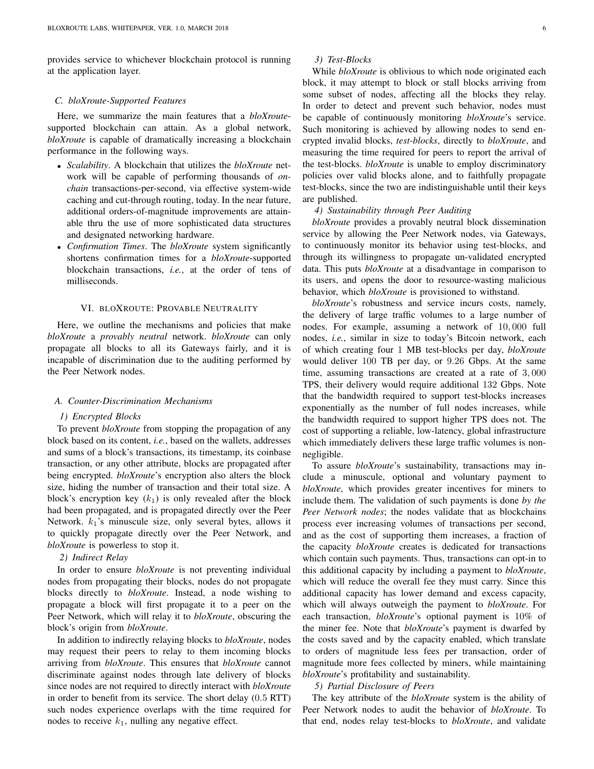provides service to whichever blockchain protocol is running at the application layer.

## *C. bloXroute-Supported Features*

Here, we summarize the main features that a *bloXroute*supported blockchain can attain. As a global network, *bloXroute* is capable of dramatically increasing a blockchain performance in the following ways.

- *Scalability*. A blockchain that utilizes the *bloXroute* network will be capable of performing thousands of *onchain* transactions-per-second, via effective system-wide caching and cut-through routing, today. In the near future, additional orders-of-magnitude improvements are attainable thru the use of more sophisticated data structures and designated networking hardware.
- *Confirmation Times*. The *bloXroute* system significantly shortens confirmation times for a *bloXroute*-supported blockchain transactions, *i.e.*, at the order of tens of milliseconds.

## VI. BLOXROUTE: PROVABLE NEUTRALITY

Here, we outline the mechanisms and policies that make *bloXroute* a *provably neutral* network. *bloXroute* can only propagate all blocks to all its Gateways fairly, and it is incapable of discrimination due to the auditing performed by the Peer Network nodes.

#### *A. Counter-Discrimination Mechanisms*

#### *1) Encrypted Blocks*

To prevent *bloXroute* from stopping the propagation of any block based on its content, *i.e.*, based on the wallets, addresses and sums of a block's transactions, its timestamp, its coinbase transaction, or any other attribute, blocks are propagated after being encrypted. *bloXroute*'s encryption also alters the block size, hiding the number of transaction and their total size. A block's encryption key  $(k_1)$  is only revealed after the block had been propagated, and is propagated directly over the Peer Network.  $k_1$ 's minuscule size, only several bytes, allows it to quickly propagate directly over the Peer Network, and *bloXroute* is powerless to stop it.

# *2) Indirect Relay*

In order to ensure *bloXroute* is not preventing individual nodes from propagating their blocks, nodes do not propagate blocks directly to *bloXroute*. Instead, a node wishing to propagate a block will first propagate it to a peer on the Peer Network, which will relay it to *bloXroute*, obscuring the block's origin from *bloXroute*.

In addition to indirectly relaying blocks to *bloXroute*, nodes may request their peers to relay to them incoming blocks arriving from *bloXroute*. This ensures that *bloXroute* cannot discriminate against nodes through late delivery of blocks since nodes are not required to directly interact with *bloXroute* in order to benefit from its service. The short delay (0.5 RTT) such nodes experience overlaps with the time required for nodes to receive  $k_1$ , nulling any negative effect.

# *3) Test-Blocks*

While *bloXroute* is oblivious to which node originated each block, it may attempt to block or stall blocks arriving from some subset of nodes, affecting all the blocks they relay. In order to detect and prevent such behavior, nodes must be capable of continuously monitoring *bloXroute*'s service. Such monitoring is achieved by allowing nodes to send encrypted invalid blocks, *test-blocks*, directly to *bloXroute*, and measuring the time required for peers to report the arrival of the test-blocks. *bloXroute* is unable to employ discriminatory policies over valid blocks alone, and to faithfully propagate test-blocks, since the two are indistinguishable until their keys are published.

# *4) Sustainability through Peer Auditing*

*bloXroute* provides a provably neutral block dissemination service by allowing the Peer Network nodes, via Gateways, to continuously monitor its behavior using test-blocks, and through its willingness to propagate un-validated encrypted data. This puts *bloXroute* at a disadvantage in comparison to its users, and opens the door to resource-wasting malicious behavior, which *bloXroute* is provisioned to withstand.

*bloXroute*'s robustness and service incurs costs, namely, the delivery of large traffic volumes to a large number of nodes. For example, assuming a network of 10, 000 full nodes, *i.e.*, similar in size to today's Bitcoin network, each of which creating four 1 MB test-blocks per day, *bloXroute* would deliver 100 TB per day, or 9.26 Gbps. At the same time, assuming transactions are created at a rate of 3, 000 TPS, their delivery would require additional 132 Gbps. Note that the bandwidth required to support test-blocks increases exponentially as the number of full nodes increases, while the bandwidth required to support higher TPS does not. The cost of supporting a reliable, low-latency, global infrastructure which immediately delivers these large traffic volumes is nonnegligible.

To assure *bloXroute*'s sustainability, transactions may include a minuscule, optional and voluntary payment to *bloXroute*, which provides greater incentives for miners to include them. The validation of such payments is done *by the Peer Network nodes*; the nodes validate that as blockchains process ever increasing volumes of transactions per second, and as the cost of supporting them increases, a fraction of the capacity *bloXroute* creates is dedicated for transactions which contain such payments. Thus, transactions can opt-in to this additional capacity by including a payment to *bloXroute*, which will reduce the overall fee they must carry. Since this additional capacity has lower demand and excess capacity, which will always outweigh the payment to *bloXroute*. For each transaction, *bloXroute*'s optional payment is 10% of the miner fee. Note that *bloXroute*'s payment is dwarfed by the costs saved and by the capacity enabled, which translate to orders of magnitude less fees per transaction, order of magnitude more fees collected by miners, while maintaining *bloXroute*'s profitability and sustainability.

#### *5) Partial Disclosure of Peers*

The key attribute of the *bloXroute* system is the ability of Peer Network nodes to audit the behavior of *bloXroute*. To that end, nodes relay test-blocks to *bloXroute*, and validate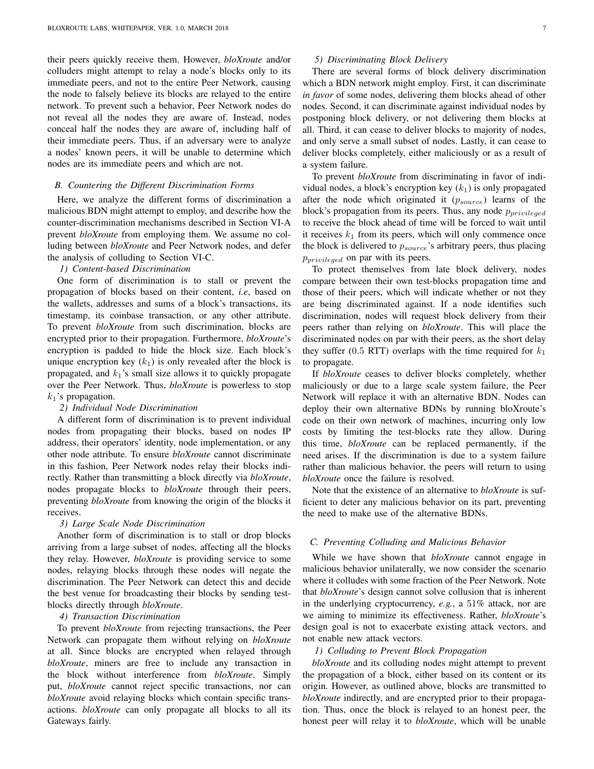their peers quickly receive them. However, *bloXroute* and/or colluders might attempt to relay a node's blocks only to its immediate peers, and not to the entire Peer Network, causing the node to falsely believe its blocks are relayed to the entire network. To prevent such a behavior, Peer Network nodes do not reveal all the nodes they are aware of. Instead, nodes conceal half the nodes they are aware of, including half of their immediate peers. Thus, if an adversary were to analyze a nodes' known peers, it will be unable to determine which nodes are its immediate peers and which are not.

#### *B. Countering the Different Discrimination Forms*

Here, we analyze the different forms of discrimination a malicious BDN might attempt to employ, and describe how the counter-discrimination mechanisms described in Section VI-A prevent *bloXroute* from employing them. We assume no colluding between *bloXroute* and Peer Network nodes, and defer the analysis of colluding to Section VI-C.

## *1) Content-based Discrimination*

One form of discrimination is to stall or prevent the propagation of blocks based on their content, *i.e*, based on the wallets, addresses and sums of a block's transactions, its timestamp, its coinbase transaction, or any other attribute. To prevent *bloXroute* from such discrimination, blocks are encrypted prior to their propagation. Furthermore, *bloXroute*'s encryption is padded to hide the block size. Each block's unique encryption key  $(k_1)$  is only revealed after the block is propagated, and  $k_1$ 's small size allows it to quickly propagate over the Peer Network. Thus, *bloXroute* is powerless to stop  $k_1$ 's propagation.

# *2) Individual Node Discrimination*

A different form of discrimination is to prevent individual nodes from propagating their blocks, based on nodes IP address, their operators' identity, node implementation, or any other node attribute. To ensure *bloXroute* cannot discriminate in this fashion, Peer Network nodes relay their blocks indirectly. Rather than transmitting a block directly via *bloXroute*, nodes propagate blocks to *bloXroute* through their peers, preventing *bloXroute* from knowing the origin of the blocks it receives.

#### *3) Large Scale Node Discrimination*

Another form of discrimination is to stall or drop blocks arriving from a large subset of nodes, affecting all the blocks they relay. However, *bloXroute* is providing service to some nodes, relaying blocks through these nodes will negate the discrimination. The Peer Network can detect this and decide the best venue for broadcasting their blocks by sending testblocks directly through *bloXroute*.

#### *4) Transaction Discrimination*

To prevent *bloXroute* from rejecting transactions, the Peer Network can propagate them without relying on *bloXroute* at all. Since blocks are encrypted when relayed through *bloXroute*, miners are free to include any transaction in the block without interference from *bloXroute*. Simply put, *bloXroute* cannot reject specific transactions, nor can *bloXroute* avoid relaying blocks which contain specific transactions. *bloXroute* can only propagate all blocks to all its Gateways fairly.

# *5) Discriminating Block Delivery*

There are several forms of block delivery discrimination which a BDN network might employ. First, it can discriminate *in favor* of some nodes, delivering them blocks ahead of other nodes. Second, it can discriminate against individual nodes by postponing block delivery, or not delivering them blocks at all. Third, it can cease to deliver blocks to majority of nodes, and only serve a small subset of nodes. Lastly, it can cease to deliver blocks completely, either maliciously or as a result of a system failure.

To prevent *bloXroute* from discriminating in favor of individual nodes, a block's encryption key  $(k_1)$  is only propagated after the node which originated it  $(p_{source})$  learns of the block's propagation from its peers. Thus, any node  $p_{\text{privileged}}$ to receive the block ahead of time will be forced to wait until it receives  $k_1$  from its peers, which will only commence once the block is delivered to  $p_{source}$ 's arbitrary peers, thus placing  $p_{privileaed}$  on par with its peers.

To protect themselves from late block delivery, nodes compare between their own test-blocks propagation time and those of their peers, which will indicate whether or not they are being discriminated against. If a node identifies such discrimination, nodes will request block delivery from their peers rather than relying on *bloXroute*. This will place the discriminated nodes on par with their peers, as the short delay they suffer (0.5 RTT) overlaps with the time required for  $k_1$ to propagate.

If *bloXroute* ceases to deliver blocks completely, whether maliciously or due to a large scale system failure, the Peer Network will replace it with an alternative BDN. Nodes can deploy their own alternative BDNs by running bloXroute's code on their own network of machines, incurring only low costs by limiting the test-blocks rate they allow. During this time, *bloXroute* can be replaced permanently, if the need arises. If the discrimination is due to a system failure rather than malicious behavior, the peers will return to using *bloXroute* once the failure is resolved.

Note that the existence of an alternative to *bloXroute* is sufficient to deter any malicious behavior on its part, preventing the need to make use of the alternative BDNs.

# *C. Preventing Colluding and Malicious Behavior*

While we have shown that *bloXroute* cannot engage in malicious behavior unilaterally, we now consider the scenario where it colludes with some fraction of the Peer Network. Note that *bloXroute*'s design cannot solve collusion that is inherent in the underlying cryptocurrency, *e.g.*, a 51% attack, nor are we aiming to minimize its effectiveness. Rather, *bloXroute*'s design goal is not to exacerbate existing attack vectors, and not enable new attack vectors.

## *1) Colluding to Prevent Block Propagation*

*bloXroute* and its colluding nodes might attempt to prevent the propagation of a block, either based on its content or its origin. However, as outlined above, blocks are transmitted to *bloXroute* indirectly, and are encrypted prior to their propagation. Thus, once the block is relayed to an honest peer, the honest peer will relay it to *bloXroute*, which will be unable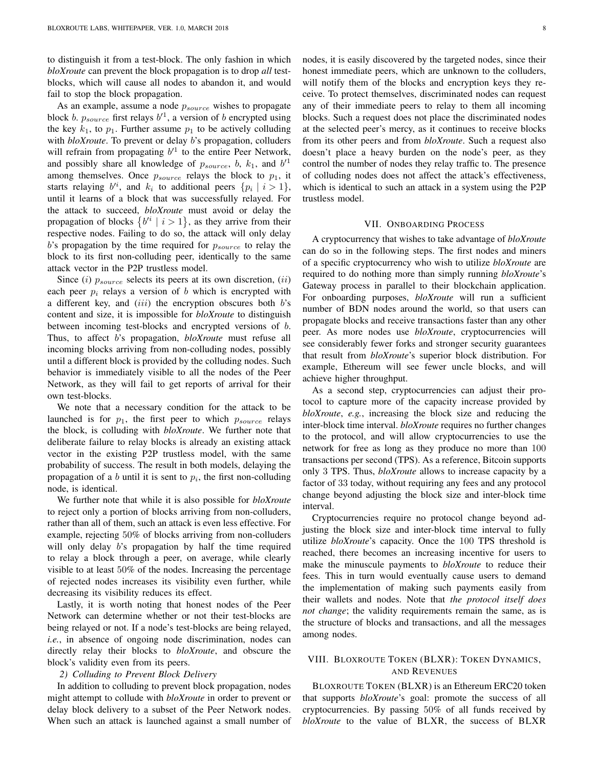to distinguish it from a test-block. The only fashion in which *bloXroute* can prevent the block propagation is to drop *all* testblocks, which will cause all nodes to abandon it, and would fail to stop the block propagation.

As an example, assume a node  $p_{source}$  wishes to propagate block *b*.  $p_{source}$  first relays  $b'$ <sup>1</sup>, a version of *b* encrypted using the key  $k_1$ , to  $p_1$ . Further assume  $p_1$  to be actively colluding with *bloXroute*. To prevent or delay *b*'s propagation, colluders will refrain from propagating  $b^{1}$  to the entire Peer Network, and possibly share all knowledge of  $p_{source}$ , b,  $k_1$ , and  $b^{\prime 1}$ among themselves. Once  $p_{source}$  relays the block to  $p_1$ , it starts relaying  $b'^i$ , and  $k_i$  to additional peers  $\{p_i \mid i > 1\}$ , until it learns of a block that was successfully relayed. For the attack to succeed, *bloXroute* must avoid or delay the propagation of blocks  $\{b^{i} \mid i > 1\}$ , as they arrive from their respective nodes. Failing to do so, the attack will only delay  $b$ 's propagation by the time required for  $p_{source}$  to relay the block to its first non-colluding peer, identically to the same attack vector in the P2P trustless model.

Since (i)  $p_{source}$  selects its peers at its own discretion, (ii) each peer  $p_i$  relays a version of b which is encrypted with a different key, and  $(iii)$  the encryption obscures both  $b$ 's content and size, it is impossible for *bloXroute* to distinguish between incoming test-blocks and encrypted versions of b. Thus, to affect b's propagation, *bloXroute* must refuse all incoming blocks arriving from non-colluding nodes, possibly until a different block is provided by the colluding nodes. Such behavior is immediately visible to all the nodes of the Peer Network, as they will fail to get reports of arrival for their own test-blocks.

We note that a necessary condition for the attack to be launched is for  $p_1$ , the first peer to which  $p_{source}$  relays the block, is colluding with *bloXroute*. We further note that deliberate failure to relay blocks is already an existing attack vector in the existing P2P trustless model, with the same probability of success. The result in both models, delaying the propagation of a b until it is sent to  $p_i$ , the first non-colluding node, is identical.

We further note that while it is also possible for *bloXroute* to reject only a portion of blocks arriving from non-colluders, rather than all of them, such an attack is even less effective. For example, rejecting 50% of blocks arriving from non-colluders will only delay b's propagation by half the time required to relay a block through a peer, on average, while clearly visible to at least 50% of the nodes. Increasing the percentage of rejected nodes increases its visibility even further, while decreasing its visibility reduces its effect.

Lastly, it is worth noting that honest nodes of the Peer Network can determine whether or not their test-blocks are being relayed or not. If a node's test-blocks are being relayed, *i.e.*, in absence of ongoing node discrimination, nodes can directly relay their blocks to *bloXroute*, and obscure the block's validity even from its peers.

## *2) Colluding to Prevent Block Delivery*

In addition to colluding to prevent block propagation, nodes might attempt to collude with *bloXroute* in order to prevent or delay block delivery to a subset of the Peer Network nodes. When such an attack is launched against a small number of nodes, it is easily discovered by the targeted nodes, since their honest immediate peers, which are unknown to the colluders, will notify them of the blocks and encryption keys they receive. To protect themselves, discriminated nodes can request any of their immediate peers to relay to them all incoming blocks. Such a request does not place the discriminated nodes at the selected peer's mercy, as it continues to receive blocks from its other peers and from *bloXroute*. Such a request also doesn't place a heavy burden on the node's peer, as they control the number of nodes they relay traffic to. The presence of colluding nodes does not affect the attack's effectiveness, which is identical to such an attack in a system using the P2P trustless model.

## VII. ONBOARDING PROCESS

A cryptocurrency that wishes to take advantage of *bloXroute* can do so in the following steps. The first nodes and miners of a specific cryptocurrency who wish to utilize *bloXroute* are required to do nothing more than simply running *bloXroute*'s Gateway process in parallel to their blockchain application. For onboarding purposes, *bloXroute* will run a sufficient number of BDN nodes around the world, so that users can propagate blocks and receive transactions faster than any other peer. As more nodes use *bloXroute*, cryptocurrencies will see considerably fewer forks and stronger security guarantees that result from *bloXroute*'s superior block distribution. For example, Ethereum will see fewer uncle blocks, and will achieve higher throughput.

As a second step, cryptocurrencies can adjust their protocol to capture more of the capacity increase provided by *bloXroute*, *e.g.*, increasing the block size and reducing the inter-block time interval. *bloXroute* requires no further changes to the protocol, and will allow cryptocurrencies to use the network for free as long as they produce no more than 100 transactions per second (TPS). As a reference, Bitcoin supports only 3 TPS. Thus, *bloXroute* allows to increase capacity by a factor of 33 today, without requiring any fees and any protocol change beyond adjusting the block size and inter-block time interval.

Cryptocurrencies require no protocol change beyond adjusting the block size and inter-block time interval to fully utilize *bloXroute*'s capacity. Once the 100 TPS threshold is reached, there becomes an increasing incentive for users to make the minuscule payments to *bloXroute* to reduce their fees. This in turn would eventually cause users to demand the implementation of making such payments easily from their wallets and nodes. Note that *the protocol itself does not change*; the validity requirements remain the same, as is the structure of blocks and transactions, and all the messages among nodes.

# VIII. BLOXROUTE TOKEN (BLXR): TOKEN DYNAMICS, AND REVENUES

BLOXROUTE TOKEN (BLXR) is an Ethereum ERC20 token that supports *bloXroute*'s goal: promote the success of all cryptocurrencies. By passing 50% of all funds received by *bloXroute* to the value of BLXR, the success of BLXR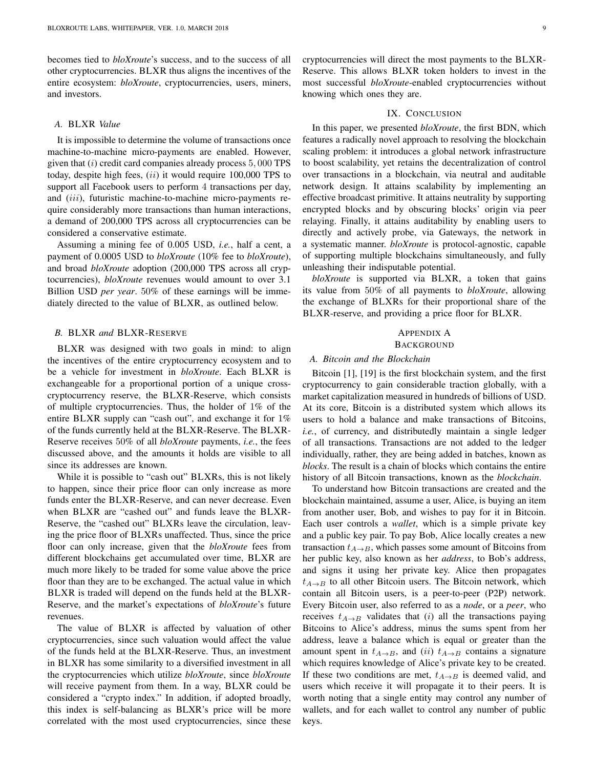becomes tied to *bloXroute*'s success, and to the success of all other cryptocurrencies. BLXR thus aligns the incentives of the entire ecosystem: *bloXroute*, cryptocurrencies, users, miners, and investors.

## *A.* BLXR *Value*

It is impossible to determine the volume of transactions once machine-to-machine micro-payments are enabled. However, given that  $(i)$  credit card companies already process  $5,000$  TPS today, despite high fees,  $(ii)$  it would require 100,000 TPS to support all Facebook users to perform 4 transactions per day, and (iii), futuristic machine-to-machine micro-payments require considerably more transactions than human interactions, a demand of 200,000 TPS across all cryptocurrencies can be considered a conservative estimate.

Assuming a mining fee of 0.005 USD, *i.e.*, half a cent, a payment of 0.0005 USD to *bloXroute* (10% fee to *bloXroute*), and broad *bloXroute* adoption (200,000 TPS across all cryptocurrencies), *bloXroute* revenues would amount to over 3.1 Billion USD *per year*. 50% of these earnings will be immediately directed to the value of BLXR, as outlined below.

#### *B.* BLXR *and* BLXR-RESERVE

BLXR was designed with two goals in mind: to align the incentives of the entire cryptocurrency ecosystem and to be a vehicle for investment in *bloXroute*. Each BLXR is exchangeable for a proportional portion of a unique crosscryptocurrency reserve, the BLXR-Reserve, which consists of multiple cryptocurrencies. Thus, the holder of 1% of the entire BLXR supply can "cash out", and exchange it for 1% of the funds currently held at the BLXR-Reserve. The BLXR-Reserve receives 50% of all *bloXroute* payments, *i.e.*, the fees discussed above, and the amounts it holds are visible to all since its addresses are known.

While it is possible to "cash out" BLXRs, this is not likely to happen, since their price floor can only increase as more funds enter the BLXR-Reserve, and can never decrease. Even when BLXR are "cashed out" and funds leave the BLXR-Reserve, the "cashed out" BLXRs leave the circulation, leaving the price floor of BLXRs unaffected. Thus, since the price floor can only increase, given that the *bloXroute* fees from different blockchains get accumulated over time, BLXR are much more likely to be traded for some value above the price floor than they are to be exchanged. The actual value in which BLXR is traded will depend on the funds held at the BLXR-Reserve, and the market's expectations of *bloXroute*'s future revenues.

The value of BLXR is affected by valuation of other cryptocurrencies, since such valuation would affect the value of the funds held at the BLXR-Reserve. Thus, an investment in BLXR has some similarity to a diversified investment in all the cryptocurrencies which utilize *bloXroute*, since *bloXroute* will receive payment from them. In a way, BLXR could be considered a "crypto index." In addition, if adopted broadly, this index is self-balancing as BLXR's price will be more correlated with the most used cryptocurrencies, since these cryptocurrencies will direct the most payments to the BLXR-Reserve. This allows BLXR token holders to invest in the most successful *bloXroute*-enabled cryptocurrencies without knowing which ones they are.

# IX. CONCLUSION

In this paper, we presented *bloXroute*, the first BDN, which features a radically novel approach to resolving the blockchain scaling problem: it introduces a global network infrastructure to boost scalability, yet retains the decentralization of control over transactions in a blockchain, via neutral and auditable network design. It attains scalability by implementing an effective broadcast primitive. It attains neutrality by supporting encrypted blocks and by obscuring blocks' origin via peer relaying. Finally, it attains auditability by enabling users to directly and actively probe, via Gateways, the network in a systematic manner. *bloXroute* is protocol-agnostic, capable of supporting multiple blockchains simultaneously, and fully unleashing their indisputable potential.

*bloXroute* is supported via BLXR, a token that gains its value from 50% of all payments to *bloXroute*, allowing the exchange of BLXRs for their proportional share of the BLXR-reserve, and providing a price floor for BLXR.

## APPENDIX A **BACKGROUND**

# *A. Bitcoin and the Blockchain*

Bitcoin [1], [19] is the first blockchain system, and the first cryptocurrency to gain considerable traction globally, with a market capitalization measured in hundreds of billions of USD. At its core, Bitcoin is a distributed system which allows its users to hold a balance and make transactions of Bitcoins, *i.e.*, of currency, and distributedly maintain a single ledger of all transactions. Transactions are not added to the ledger individually, rather, they are being added in batches, known as *blocks*. The result is a chain of blocks which contains the entire history of all Bitcoin transactions, known as the *blockchain*.

To understand how Bitcoin transactions are created and the blockchain maintained, assume a user, Alice, is buying an item from another user, Bob, and wishes to pay for it in Bitcoin. Each user controls a *wallet*, which is a simple private key and a public key pair. To pay Bob, Alice locally creates a new transaction  $t_{A\rightarrow B}$ , which passes some amount of Bitcoins from her public key, also known as her *address*, to Bob's address, and signs it using her private key. Alice then propagates  $t_{A\rightarrow B}$  to all other Bitcoin users. The Bitcoin network, which contain all Bitcoin users, is a peer-to-peer (P2P) network. Every Bitcoin user, also referred to as a *node*, or a *peer*, who receives  $t_{A\rightarrow B}$  validates that (i) all the transactions paying Bitcoins to Alice's address, minus the sums spent from her address, leave a balance which is equal or greater than the amount spent in  $t_{A\rightarrow B}$ , and (ii)  $t_{A\rightarrow B}$  contains a signature which requires knowledge of Alice's private key to be created. If these two conditions are met,  $t_{A\rightarrow B}$  is deemed valid, and users which receive it will propagate it to their peers. It is worth noting that a single entity may control any number of wallets, and for each wallet to control any number of public keys.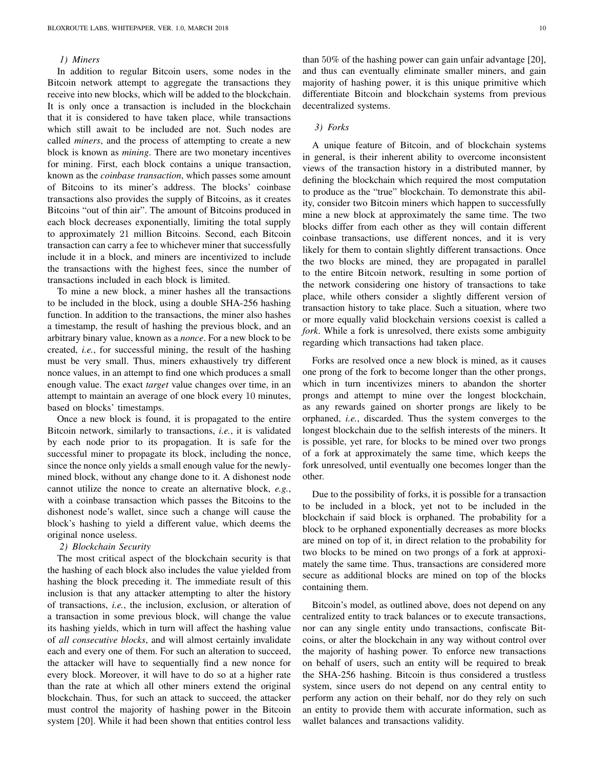#### *1) Miners*

In addition to regular Bitcoin users, some nodes in the Bitcoin network attempt to aggregate the transactions they receive into new blocks, which will be added to the blockchain. It is only once a transaction is included in the blockchain that it is considered to have taken place, while transactions which still await to be included are not. Such nodes are called *miners*, and the process of attempting to create a new block is known as *mining*. There are two monetary incentives for mining. First, each block contains a unique transaction, known as the *coinbase transaction*, which passes some amount of Bitcoins to its miner's address. The blocks' coinbase transactions also provides the supply of Bitcoins, as it creates Bitcoins "out of thin air". The amount of Bitcoins produced in each block decreases exponentially, limiting the total supply to approximately 21 million Bitcoins. Second, each Bitcoin transaction can carry a fee to whichever miner that successfully include it in a block, and miners are incentivized to include the transactions with the highest fees, since the number of transactions included in each block is limited.

To mine a new block, a miner hashes all the transactions to be included in the block, using a double SHA-256 hashing function. In addition to the transactions, the miner also hashes a timestamp, the result of hashing the previous block, and an arbitrary binary value, known as a *nonce*. For a new block to be created, *i.e.*, for successful mining, the result of the hashing must be very small. Thus, miners exhaustively try different nonce values, in an attempt to find one which produces a small enough value. The exact *target* value changes over time, in an attempt to maintain an average of one block every 10 minutes, based on blocks' timestamps.

Once a new block is found, it is propagated to the entire Bitcoin network, similarly to transactions, *i.e.*, it is validated by each node prior to its propagation. It is safe for the successful miner to propagate its block, including the nonce, since the nonce only yields a small enough value for the newlymined block, without any change done to it. A dishonest node cannot utilize the nonce to create an alternative block, *e.g.*, with a coinbase transaction which passes the Bitcoins to the dishonest node's wallet, since such a change will cause the block's hashing to yield a different value, which deems the original nonce useless.

#### *2) Blockchain Security*

The most critical aspect of the blockchain security is that the hashing of each block also includes the value yielded from hashing the block preceding it. The immediate result of this inclusion is that any attacker attempting to alter the history of transactions, *i.e.*, the inclusion, exclusion, or alteration of a transaction in some previous block, will change the value its hashing yields, which in turn will affect the hashing value of *all consecutive blocks*, and will almost certainly invalidate each and every one of them. For such an alteration to succeed, the attacker will have to sequentially find a new nonce for every block. Moreover, it will have to do so at a higher rate than the rate at which all other miners extend the original blockchain. Thus, for such an attack to succeed, the attacker must control the majority of hashing power in the Bitcoin system [20]. While it had been shown that entities control less

than 50% of the hashing power can gain unfair advantage [20], and thus can eventually eliminate smaller miners, and gain majority of hashing power, it is this unique primitive which differentiate Bitcoin and blockchain systems from previous decentralized systems.

## *3) Forks*

A unique feature of Bitcoin, and of blockchain systems in general, is their inherent ability to overcome inconsistent views of the transaction history in a distributed manner, by defining the blockchain which required the most computation to produce as the "true" blockchain. To demonstrate this ability, consider two Bitcoin miners which happen to successfully mine a new block at approximately the same time. The two blocks differ from each other as they will contain different coinbase transactions, use different nonces, and it is very likely for them to contain slightly different transactions. Once the two blocks are mined, they are propagated in parallel to the entire Bitcoin network, resulting in some portion of the network considering one history of transactions to take place, while others consider a slightly different version of transaction history to take place. Such a situation, where two or more equally valid blockchain versions coexist is called a *fork*. While a fork is unresolved, there exists some ambiguity regarding which transactions had taken place.

Forks are resolved once a new block is mined, as it causes one prong of the fork to become longer than the other prongs, which in turn incentivizes miners to abandon the shorter prongs and attempt to mine over the longest blockchain, as any rewards gained on shorter prongs are likely to be orphaned, *i.e.*, discarded. Thus the system converges to the longest blockchain due to the selfish interests of the miners. It is possible, yet rare, for blocks to be mined over two prongs of a fork at approximately the same time, which keeps the fork unresolved, until eventually one becomes longer than the other.

Due to the possibility of forks, it is possible for a transaction to be included in a block, yet not to be included in the blockchain if said block is orphaned. The probability for a block to be orphaned exponentially decreases as more blocks are mined on top of it, in direct relation to the probability for two blocks to be mined on two prongs of a fork at approximately the same time. Thus, transactions are considered more secure as additional blocks are mined on top of the blocks containing them.

Bitcoin's model, as outlined above, does not depend on any centralized entity to track balances or to execute transactions, nor can any single entity undo transactions, confiscate Bitcoins, or alter the blockchain in any way without control over the majority of hashing power. To enforce new transactions on behalf of users, such an entity will be required to break the SHA-256 hashing. Bitcoin is thus considered a trustless system, since users do not depend on any central entity to perform any action on their behalf, nor do they rely on such an entity to provide them with accurate information, such as wallet balances and transactions validity.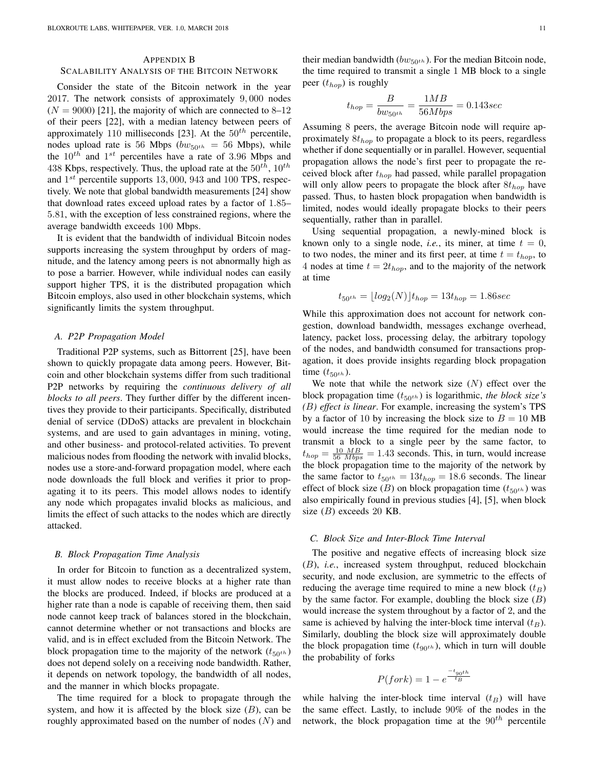#### APPENDIX B

#### SCALABILITY ANALYSIS OF THE BITCOIN NETWORK

Consider the state of the Bitcoin network in the year 2017. The network consists of approximately 9, 000 nodes  $(N = 9000)$  [21], the majority of which are connected to 8–12 of their peers [22], with a median latency between peers of approximately 110 milliseconds [23]. At the  $50<sup>th</sup>$  percentile, nodes upload rate is 56 Mbps ( $bw_{50}$ th = 56 Mbps), while the  $10^{th}$  and  $1^{st}$  percentiles have a rate of 3.96 Mbps and 438 Kbps, respectively. Thus, the upload rate at the  $50^{th}$ ,  $10^{th}$ and  $1^{st}$  percentile supports 13,000, 943 and 100 TPS, respectively. We note that global bandwidth measurements [24] show that download rates exceed upload rates by a factor of 1.85– 5.81, with the exception of less constrained regions, where the average bandwidth exceeds 100 Mbps.

It is evident that the bandwidth of individual Bitcoin nodes supports increasing the system throughput by orders of magnitude, and the latency among peers is not abnormally high as to pose a barrier. However, while individual nodes can easily support higher TPS, it is the distributed propagation which Bitcoin employs, also used in other blockchain systems, which significantly limits the system throughput.

## *A. P2P Propagation Model*

Traditional P2P systems, such as Bittorrent [25], have been shown to quickly propagate data among peers. However, Bitcoin and other blockchain systems differ from such traditional P2P networks by requiring the *continuous delivery of all blocks to all peers*. They further differ by the different incentives they provide to their participants. Specifically, distributed denial of service (DDoS) attacks are prevalent in blockchain systems, and are used to gain advantages in mining, voting, and other business- and protocol-related activities. To prevent malicious nodes from flooding the network with invalid blocks, nodes use a store-and-forward propagation model, where each node downloads the full block and verifies it prior to propagating it to its peers. This model allows nodes to identify any node which propagates invalid blocks as malicious, and limits the effect of such attacks to the nodes which are directly attacked.

#### *B. Block Propagation Time Analysis*

In order for Bitcoin to function as a decentralized system, it must allow nodes to receive blocks at a higher rate than the blocks are produced. Indeed, if blocks are produced at a higher rate than a node is capable of receiving them, then said node cannot keep track of balances stored in the blockchain, cannot determine whether or not transactions and blocks are valid, and is in effect excluded from the Bitcoin Network. The block propagation time to the majority of the network  $(t_{50^{th}})$ does not depend solely on a receiving node bandwidth. Rather, it depends on network topology, the bandwidth of all nodes, and the manner in which blocks propagate.

The time required for a block to propagate through the system, and how it is affected by the block size  $(B)$ , can be roughly approximated based on the number of nodes  $(N)$  and their median bandwidth ( $bw_{50^{th}}$ ). For the median Bitcoin node, the time required to transmit a single 1 MB block to a single peer  $(t_{hop})$  is roughly

$$
t_{hop} = \frac{B}{bw_{50^{th}}} = \frac{1MB}{56Mbps} = 0.143sec
$$

Assuming 8 peers, the average Bitcoin node will require approximately  $8t_{hop}$  to propagate a block to its peers, regardless whether if done sequentially or in parallel. However, sequential propagation allows the node's first peer to propagate the received block after  $t_{hop}$  had passed, while parallel propagation will only allow peers to propagate the block after  $8t_{hop}$  have passed. Thus, to hasten block propagation when bandwidth is limited, nodes would ideally propagate blocks to their peers sequentially, rather than in parallel.

Using sequential propagation, a newly-mined block is known only to a single node, *i.e.*, its miner, at time  $t = 0$ , to two nodes, the miner and its first peer, at time  $t = t_{hop}$ , to 4 nodes at time  $t = 2t_{hop}$ , and to the majority of the network at time

$$
t_{50^{th}} = \lfloor log_2(N) \rfloor t_{hop} = 13t_{hop} = 1.86 sec
$$

While this approximation does not account for network congestion, download bandwidth, messages exchange overhead, latency, packet loss, processing delay, the arbitrary topology of the nodes, and bandwidth consumed for transactions propagation, it does provide insights regarding block propagation time  $(t_{50^{th}})$ .

We note that while the network size  $(N)$  effect over the block propagation time  $(t_{50<sup>th</sup>})$  is logarithmic, *the block size's (*B*) effect is linear*. For example, increasing the system's TPS by a factor of 10 by increasing the block size to  $B = 10$  MB would increase the time required for the median node to transmit a block to a single peer by the same factor, to  $t_{hop} = \frac{10 \text{ MB}}{56 \text{ Mbps}} = 1.43$  seconds. This, in turn, would increase the block propagation time to the majority of the network by the same factor to  $t_{50<sup>th</sup>} = 13t_{hop} = 18.6$  seconds. The linear effect of block size (*B*) on block propagation time  $(t_{50<sup>th</sup>})$  was also empirically found in previous studies [4], [5], when block size  $(B)$  exceeds 20 KB.

## *C. Block Size and Inter-Block Time Interval*

The positive and negative effects of increasing block size (B), *i.e.*, increased system throughput, reduced blockchain security, and node exclusion, are symmetric to the effects of reducing the average time required to mine a new block  $(t_B)$ by the same factor. For example, doubling the block size  $(B)$ would increase the system throughout by a factor of 2, and the same is achieved by halving the inter-block time interval  $(t_B)$ . Similarly, doubling the block size will approximately double the block propagation time  $(t_{90<sup>th</sup>})$ , which in turn will double the probability of forks

$$
P(fork) = 1 - e^{\frac{-t_{g_0th}}{t_B}}
$$

while halving the inter-block time interval  $(t_B)$  will have the same effect. Lastly, to include 90% of the nodes in the network, the block propagation time at the  $90<sup>th</sup>$  percentile